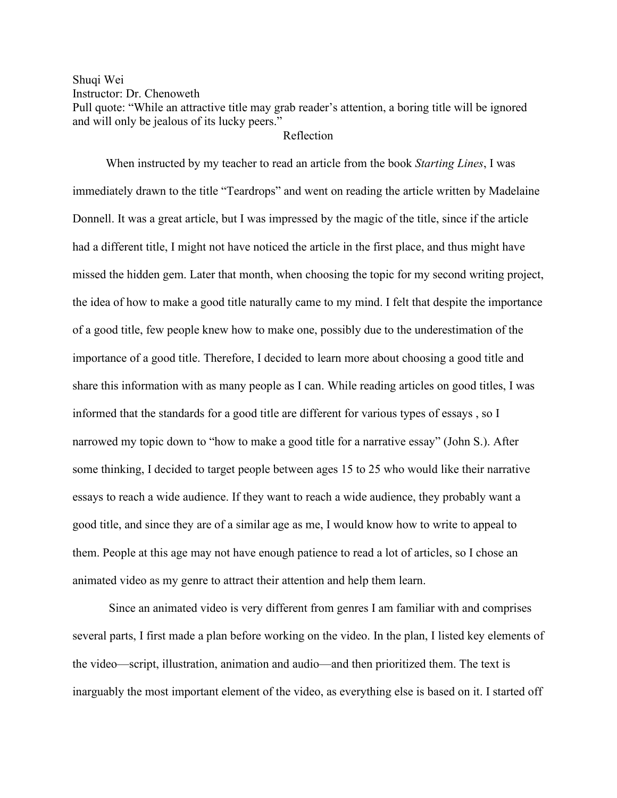## Shuqi Wei

Instructor: Dr. Chenoweth

Pull quote: "While an attractive title may grab reader's attention, a boring title will be ignored and will only be jealous of its lucky peers."

## Reflection

 When instructed by my teacher to read an article from the book *Starting Lines*, I was immediately drawn to the title "Teardrops" and went on reading the article written by Madelaine Donnell. It was a great article, but I was impressed by the magic of the title, since if the article had a different title, I might not have noticed the article in the first place, and thus might have missed the hidden gem. Later that month, when choosing the topic for my second writing project, the idea of how to make a good title naturally came to my mind. I felt that despite the importance of a good title, few people knew how to make one, possibly due to the underestimation of the importance of a good title. Therefore, I decided to learn more about choosing a good title and share this information with as many people as I can. While reading articles on good titles, I was informed that the standards for a good title are different for various types of essays , so I narrowed my topic down to "how to make a good title for a narrative essay" (John S.). After some thinking, I decided to target people between ages 15 to 25 who would like their narrative essays to reach a wide audience. If they want to reach a wide audience, they probably want a good title, and since they are of a similar age as me, I would know how to write to appeal to them. People at this age may not have enough patience to read a lot of articles, so I chose an animated video as my genre to attract their attention and help them learn.

Since an animated video is very different from genres I am familiar with and comprises several parts, I first made a plan before working on the video. In the plan, I listed key elements of the video—script, illustration, animation and audio—and then prioritized them. The text is inarguably the most important element of the video, as everything else is based on it. I started off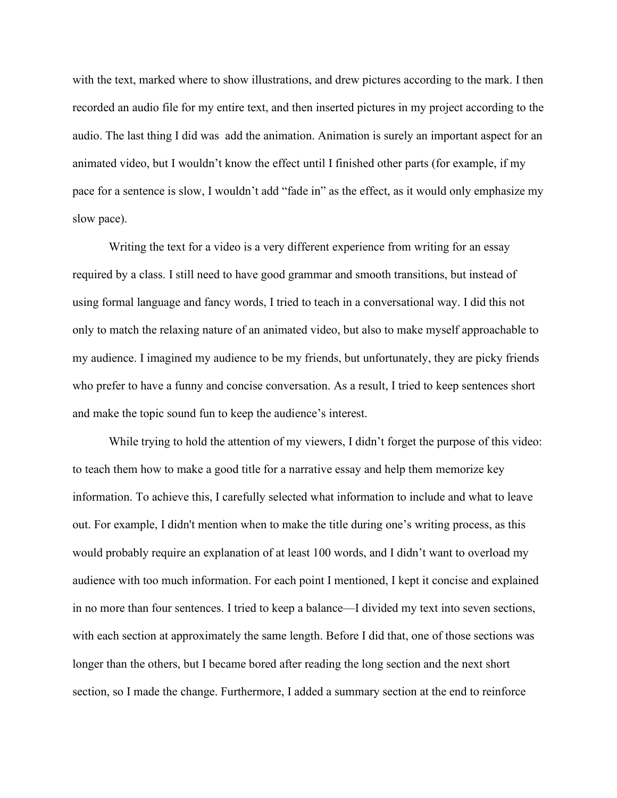with the text, marked where to show illustrations, and drew pictures according to the mark. I then recorded an audio file for my entire text, and then inserted pictures in my project according to the audio. The last thing I did was add the animation. Animation is surely an important aspect for an animated video, but I wouldn't know the effect until I finished other parts (for example, if my pace for a sentence is slow, I wouldn't add "fade in" as the effect, as it would only emphasize my slow pace).

Writing the text for a video is a very different experience from writing for an essay required by a class. I still need to have good grammar and smooth transitions, but instead of using formal language and fancy words, I tried to teach in a conversational way. I did this not only to match the relaxing nature of an animated video, but also to make myself approachable to my audience. I imagined my audience to be my friends, but unfortunately, they are picky friends who prefer to have a funny and concise conversation. As a result, I tried to keep sentences short and make the topic sound fun to keep the audience's interest.

While trying to hold the attention of my viewers, I didn't forget the purpose of this video: to teach them how to make a good title for a narrative essay and help them memorize key information. To achieve this, I carefully selected what information to include and what to leave out. For example, I didn't mention when to make the title during one's writing process, as this would probably require an explanation of at least 100 words, and I didn't want to overload my audience with too much information. For each point I mentioned, I kept it concise and explained in no more than four sentences. I tried to keep a balance—I divided my text into seven sections, with each section at approximately the same length. Before I did that, one of those sections was longer than the others, but I became bored after reading the long section and the next short section, so I made the change. Furthermore, I added a summary section at the end to reinforce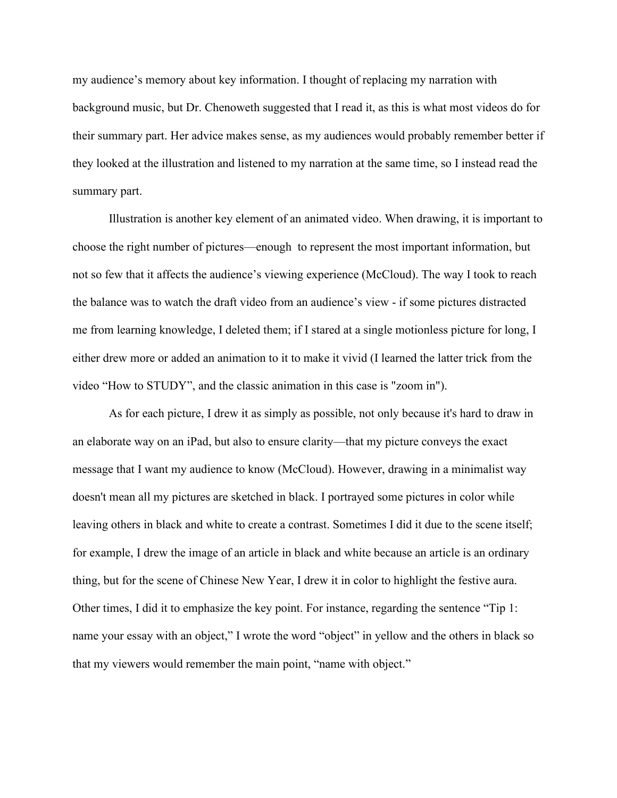my audience's memory about key information. I thought of replacing my narration with background music, but Dr. Chenoweth suggested that I read it, as this is what most videos do for their summary part. Her advice makes sense, as my audiences would probably remember better if they looked at the illustration and listened to my narration at the same time, so I instead read the summary part.

Illustration is another key element of an animated video. When drawing, it is important to choose the right number of pictures—enough to represent the most important information, but not so few that it affects the audience's viewing experience (McCloud). The way I took to reach the balance was to watch the draft video from an audience's view - if some pictures distracted me from learning knowledge, I deleted them; if I stared at a single motionless picture for long, I either drew more or added an animation to it to make it vivid (I learned the latter trick from the video "How to STUDY", and the classic animation in this case is "zoom in").

As for each picture, I drew it as simply as possible, not only because it's hard to draw in an elaborate way on an iPad, but also to ensure clarity—that my picture conveys the exact message that I want my audience to know (McCloud). However, drawing in a minimalist way doesn't mean all my pictures are sketched in black. I portrayed some pictures in color while leaving others in black and white to create a contrast. Sometimes I did it due to the scene itself; for example, I drew the image of an article in black and white because an article is an ordinary thing, but for the scene of Chinese New Year, I drew it in color to highlight the festive aura. Other times, I did it to emphasize the key point. For instance, regarding the sentence "Tip 1: name your essay with an object," I wrote the word "object" in yellow and the others in black so that my viewers would remember the main point, "name with object."